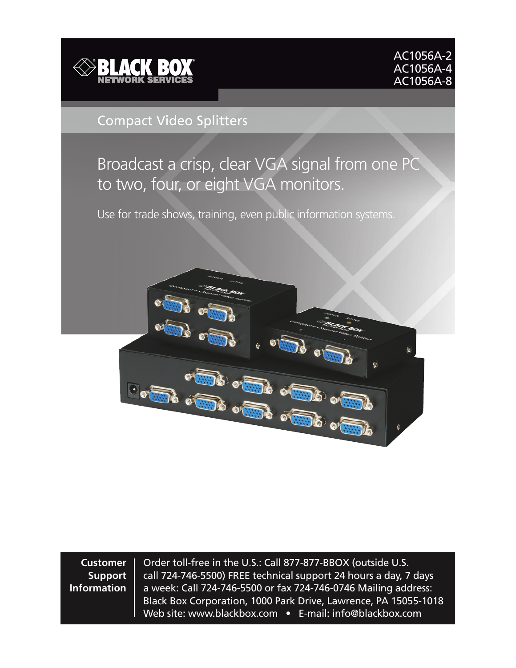



#### Compact Video Splitters

## Broadcast a crisp, clear VGA signal from one PC to two, four, or eight VGA monitors.

Use for trade shows, training, even public information systems.



**Customer Support Information**

Order toll-free in the U.S.: Call 877-877-BBOX (outside U.S. call 724-746-5500) FREE technical support 24 hours a day, 7 days a week: Call 724-746-5500 or fax 724-746-0746 Mailing address: Black Box Corporation, 1000 Park Drive, Lawrence, PA 15055-1018 Web site: www.blackbox.com • E-mail: info@blackbox.com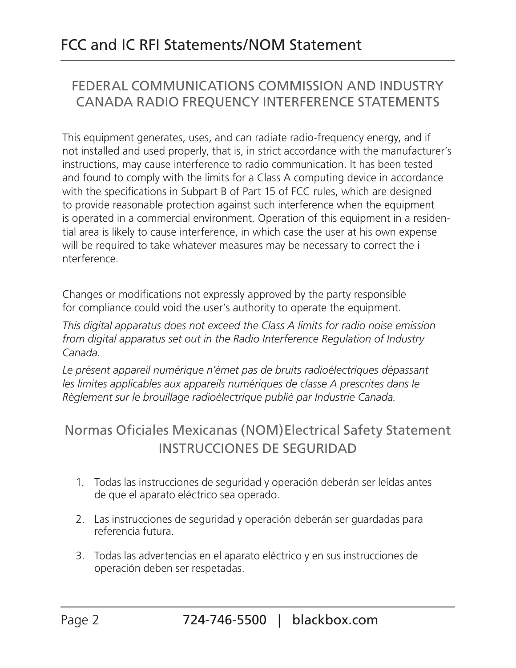## FEDERAL COMMUNICATIONS COMMISSION AND INDUSTRY CANADA RADIO FREQUENCY INTERFERENCE STATEMENTS

This equipment generates, uses, and can radiate radio-frequency energy, and if not installed and used properly, that is, in strict accordance with the manufacturer's instructions, may cause interference to radio communication. It has been tested and found to comply with the limits for a Class A computing device in accordance with the specifications in Subpart B of Part 15 of FCC rules, which are designed to provide reasonable protection against such interference when the equipment is operated in a commercial environment. Operation of this equipment in a residential area is likely to cause interference, in which case the user at his own expense will be required to take whatever measures may be necessary to correct the i nterference.

Changes or modifications not expressly approved by the party responsible for compliance could void the user's authority to operate the equipment.

*This digital apparatus does not exceed the Class A limits for radio noise emission from digital apparatus set out in the Radio Interference Regulation of Industry Canada.*

*Le présent appareil numérique n'émet pas de bruits radioélectriques dépassant*  les limites applicables aux appareils numériques de classe A prescrites dans le *Règlement sur le brouillage radioélectrique publié par Industrie Canada.*

## Normas Oficiales Mexicanas (NOM)Electrical Safety Statement INSTRUCCIONES DE SEGURIDAD

- 1. Todas las instrucciones de seguridad y operación deberán ser leídas antes de que el aparato eléctrico sea operado.
- 2. Las instrucciones de seguridad y operación deberán ser guardadas para referencia futura.
- 3. Todas las advertencias en el aparato eléctrico y en sus instrucciones de operación deben ser respetadas.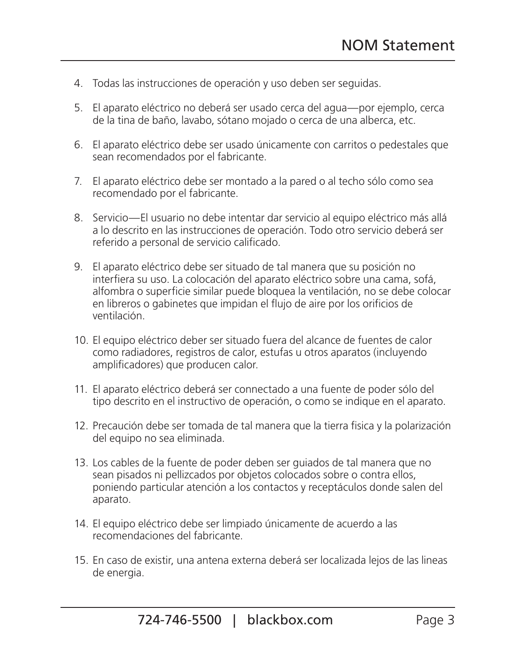- 4. Todas las instrucciones de operación y uso deben ser seguidas.
- 5. El aparato eléctrico no deberá ser usado cerca del agua—por ejemplo, cerca de la tina de baño, lavabo, sótano mojado o cerca de una alberca, etc.
- 6. El aparato eléctrico debe ser usado únicamente con carritos o pedestales que sean recomendados por el fabricante.
- 7. El aparato eléctrico debe ser montado a la pared o al techo sólo como sea recomendado por el fabricante.
- 8. Servicio—El usuario no debe intentar dar servicio al equipo eléctrico más allá a lo descrito en las instrucciones de operación. Todo otro servicio deberá ser referido a personal de servicio calificado.
- 9. El aparato eléctrico debe ser situado de tal manera que su posición no interfiera su uso. La colocación del aparato eléctrico sobre una cama, sofá, alfombra o superficie similar puede bloquea la ventilación, no se debe colocar en libreros o gabinetes que impidan el flujo de aire por los orificios de ventilación.
- 10. El equipo eléctrico deber ser situado fuera del alcance de fuentes de calor como radiadores, registros de calor, estufas u otros aparatos (incluyendo amplificadores) que producen calor.
- 11. El aparato eléctrico deberá ser connectado a una fuente de poder sólo del tipo descrito en el instructivo de operación, o como se indique en el aparato.
- 12. Precaución debe ser tomada de tal manera que la tierra fisica y la polarización del equipo no sea eliminada.
- 13. Los cables de la fuente de poder deben ser guiados de tal manera que no sean pisados ni pellizcados por objetos colocados sobre o contra ellos, poniendo particular atención a los contactos y receptáculos donde salen del aparato.
- 14. El equipo eléctrico debe ser limpiado únicamente de acuerdo a las recomendaciones del fabricante.
- 15. En caso de existir, una antena externa deberá ser localizada lejos de las lineas de energia.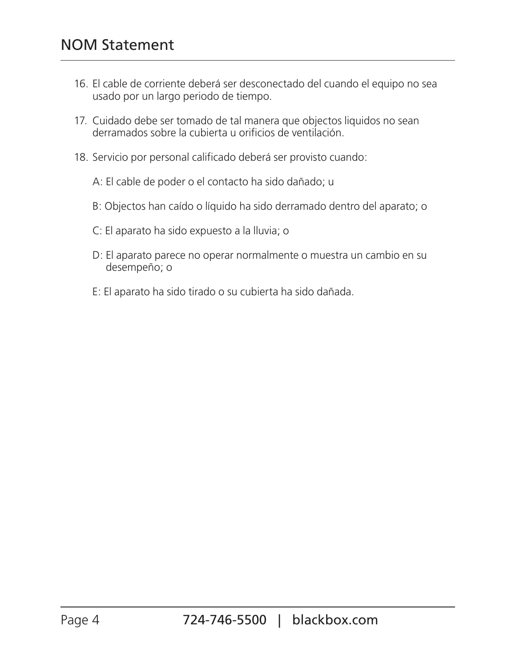- 16. El cable de corriente deberá ser desconectado del cuando el equipo no sea usado por un largo periodo de tiempo.
- 17. Cuidado debe ser tomado de tal manera que objectos liquidos no sean derramados sobre la cubierta u orificios de ventilación.
- 18. Servicio por personal calificado deberá ser provisto cuando:
	- A: El cable de poder o el contacto ha sido dañado; u
	- B: Objectos han caído o líquido ha sido derramado dentro del aparato; o
	- C: El aparato ha sido expuesto a la lluvia; o
	- D: El aparato parece no operar normalmente o muestra un cambio en su desempeño; o
	- E: El aparato ha sido tirado o su cubierta ha sido dañada.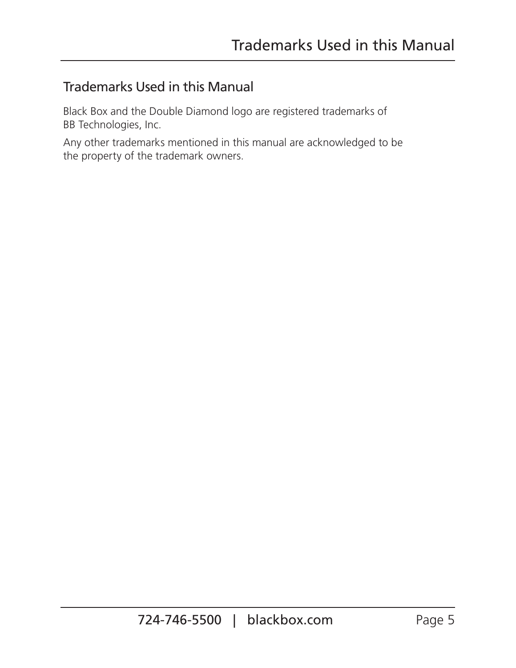## Trademarks Used in this Manual

Black Box and the Double Diamond logo are registered trademarks of BB Technologies, Inc.

Any other trademarks mentioned in this manual are acknowledged to be the property of the trademark owners.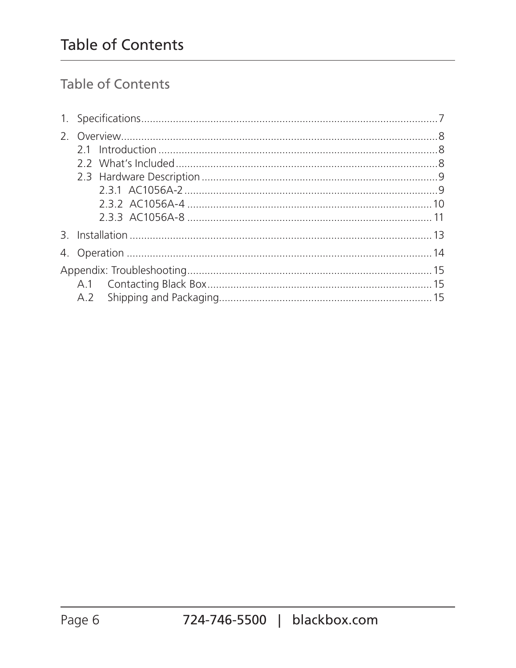## Table of Contents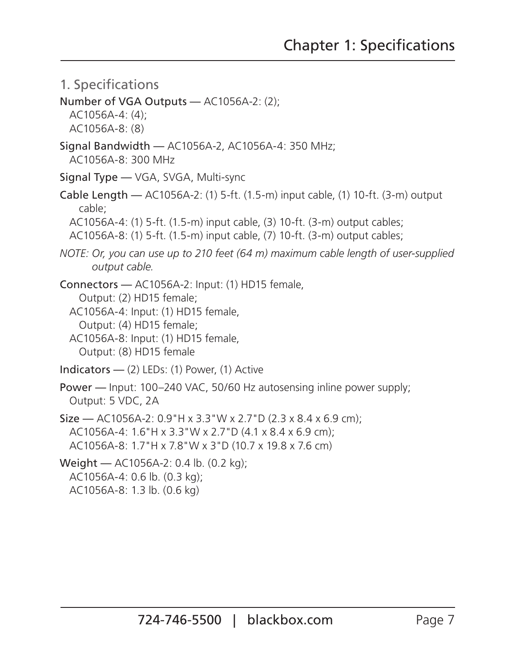- 1. Specifications
- Number of VGA Outputs AC1056A-2: (2);

 AC1056A-4: (4); AC1056A-8: (8)

- Signal Bandwidth AC1056A-2, AC1056A-4: 350 MHz; AC1056A-8: 300 MHz
- Signal Type VGA, SVGA, Multi-sync
- Cable Length AC1056A-2: (1) 5-ft. (1.5-m) input cable, (1) 10-ft. (3-m) output cable;

AC1056A-4: (1) 5-ft. (1.5-m) input cable, (3) 10-ft. (3-m) output cables;

AC1056A-8: (1) 5-ft. (1.5-m) input cable, (7) 10-ft. (3-m) output cables;

*NOTE: Or, you can use up to 210 feet (64 m) maximum cable length of user-supplied output cable.*

Connectors — AC1056A-2: Input: (1) HD15 female, Output: (2) HD15 female;

 AC1056A-4: Input: (1) HD15 female, Output: (4) HD15 female;

- AC1056A-8: Input: (1) HD15 female, Output: (8) HD15 female
- Indicators (2) LEDs: (1) Power, (1) Active
- Power Input: 100–240 VAC, 50/60 Hz autosensing inline power supply; Output: 5 VDC, 2A
- Size AC1056A-2: 0.9"H x 3.3"W x 2.7"D (2.3 x 8.4 x 6.9 cm); AC1056A-4: 1.6"H x 3.3"W x 2.7"D (4.1 x 8.4 x 6.9 cm); AC1056A-8: 1.7"H x 7.8"W x 3"D (10.7 x 19.8 x 7.6 cm)

Weight — AC1056A-2: 0.4 lb. (0.2 kg);

AC1056A-4: 0.6 lb. (0.3 kg);

AC1056A-8: 1.3 lb. (0.6 kg)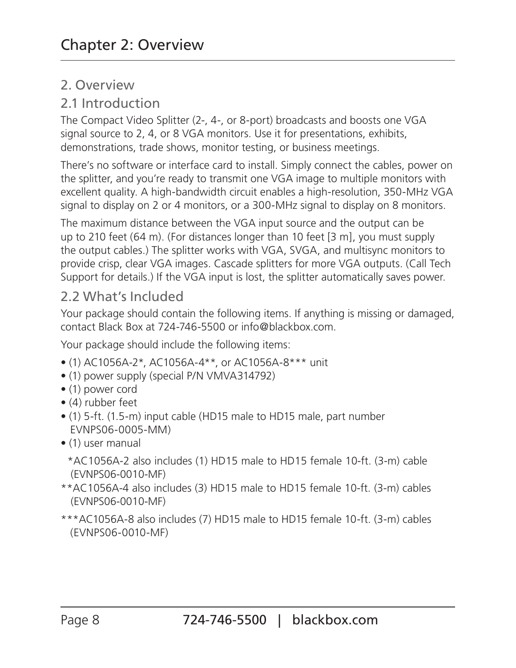#### 2. Overview

#### 2.1 Introduction

The Compact Video Splitter (2-, 4-, or 8-port) broadcasts and boosts one VGA signal source to 2, 4, or 8 VGA monitors. Use it for presentations, exhibits, demonstrations, trade shows, monitor testing, or business meetings.

There's no software or interface card to install. Simply connect the cables, power on the splitter, and you're ready to transmit one VGA image to multiple monitors with excellent quality. A high-bandwidth circuit enables a high-resolution, 350-MHz VGA signal to display on 2 or 4 monitors, or a 300-MHz signal to display on 8 monitors.

The maximum distance between the VGA input source and the output can be up to 210 feet (64 m). (For distances longer than 10 feet [3 m], you must supply the output cables.) The splitter works with VGA, SVGA, and multisync monitors to provide crisp, clear VGA images. Cascade splitters for more VGA outputs. (Call Tech Support for details.) If the VGA input is lost, the splitter automatically saves power.

#### 2.2 What's Included

Your package should contain the following items. If anything is missing or damaged, contact Black Box at 724-746-5500 or info@blackbox.com.

Your package should include the following items:

- (1) AC1056A-2\*, AC1056A-4\*\*, or AC1056A-8\*\*\* unit
- (1) power supply (special P/N VMVA314792)
- (1) power cord
- (4) rubber feet
- (1) 5-ft. (1.5-m) input cable (HD15 male to HD15 male, part number EVNPS06-0005-MM)
- (1) user manual

 \*AC1056A-2 also includes (1) HD15 male to HD15 female 10-ft. (3-m) cable (EVNPS06-0010-MF)

- \*\*AC1056A-4 also includes (3) HD15 male to HD15 female 10-ft. (3-m) cables (EVNPS06-0010-MF)
- \*\*\*AC1056A-8 also includes (7) HD15 male to HD15 female 10-ft. (3-m) cables (EVNPS06-0010-MF)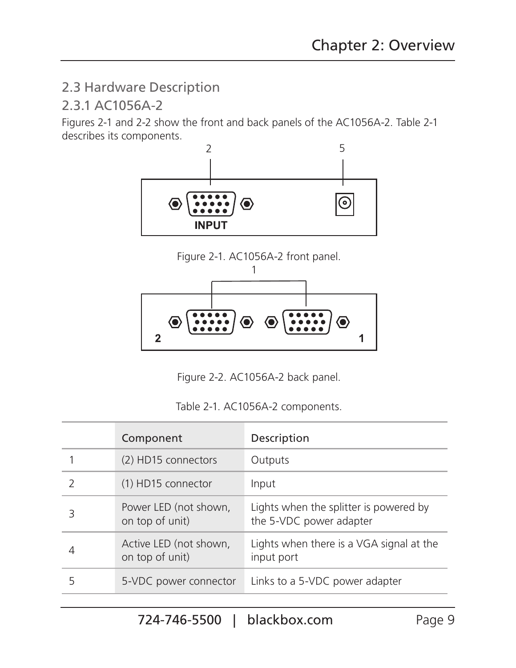## 2.3 Hardware Description

#### 2.3.1 AC1056A-2

Figures 2-1 and 2-2 show the front and back panels of the AC1056A-2. Table 2-1 describes its components.







Figure 2-2. AC1056A-2 back panel.

|  |  |  | Table 2-1. AC1056A-2 components. |
|--|--|--|----------------------------------|
|--|--|--|----------------------------------|

|   | Component                                 | Description                                                       |
|---|-------------------------------------------|-------------------------------------------------------------------|
|   | (2) HD15 connectors                       | Outputs                                                           |
|   | (1) HD15 connector                        | Input                                                             |
| З | Power LED (not shown,<br>on top of unit)  | Lights when the splitter is powered by<br>the 5-VDC power adapter |
|   | Active LED (not shown,<br>on top of unit) | Lights when there is a VGA signal at the<br>input port            |
|   | 5-VDC power connector                     | Links to a 5-VDC power adapter                                    |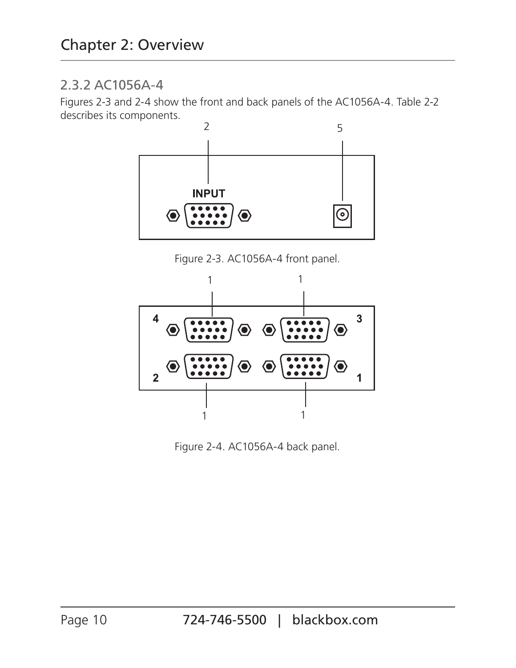#### 2.3.2 AC1056A-4

Figures 2-3 and 2-4 show the front and back panels of the AC1056A-4. Table 2-2 describes its components.



Figure 2-3. AC1056A-4 front panel.



Figure 2-4. AC1056A-4 back panel.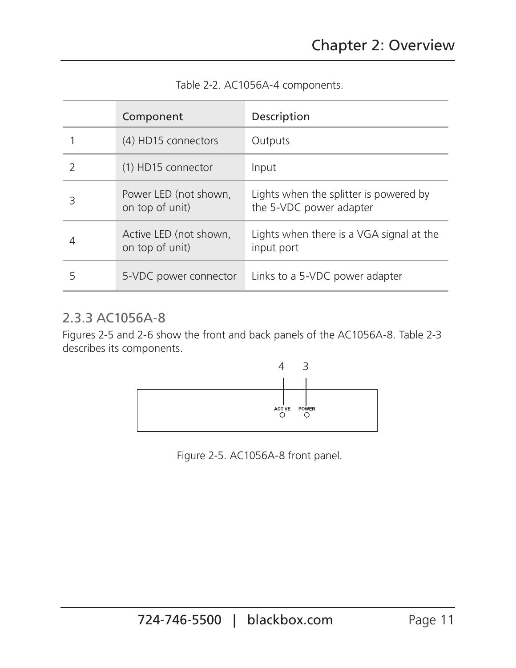|   | Component                                 | Description                                                       |
|---|-------------------------------------------|-------------------------------------------------------------------|
|   | (4) HD15 connectors                       | Outputs                                                           |
|   | (1) HD15 connector                        | Input                                                             |
| 3 | Power LED (not shown,<br>on top of unit)  | Lights when the splitter is powered by<br>the 5-VDC power adapter |
| 4 | Active LED (not shown,<br>on top of unit) | Lights when there is a VGA signal at the<br>input port            |
| 5 | 5-VDC power connector                     | Links to a 5-VDC power adapter                                    |

Table 2-2. AC1056A-4 components.

#### 2.3.3 AC1056A-8

Figures 2-5 and 2-6 show the front and back panels of the AC1056A-8. Table 2-3 describes its components.



Figure 2-5. AC1056A-8 front panel.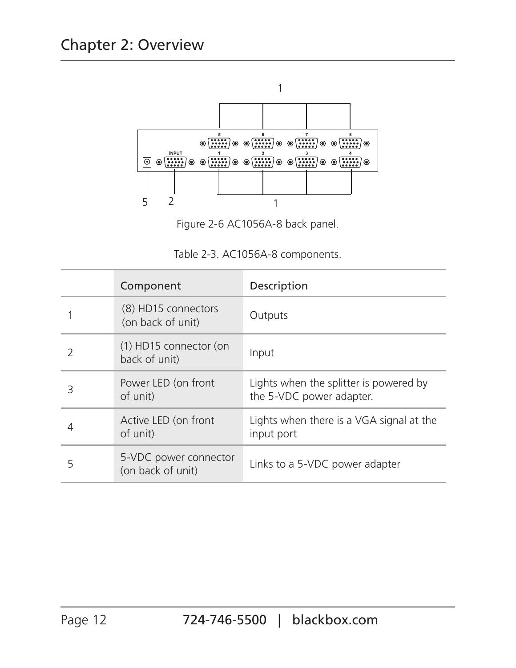

Figure 2-6 AC1056A-8 back panel.

|  | Table 2-3. AC1056A-8 components. |
|--|----------------------------------|
|  |                                  |

|   | Component                                  | Description                                                        |
|---|--------------------------------------------|--------------------------------------------------------------------|
|   | (8) HD15 connectors<br>(on back of unit)   | Outputs                                                            |
| 2 | (1) HD15 connector (on<br>back of unit)    | Input                                                              |
| З | Power LED (on front<br>of unit)            | Lights when the splitter is powered by<br>the 5-VDC power adapter. |
|   | Active LED (on front<br>of unit)           | Lights when there is a VGA signal at the<br>input port             |
| 5 | 5-VDC power connector<br>(on back of unit) | Links to a 5-VDC power adapter                                     |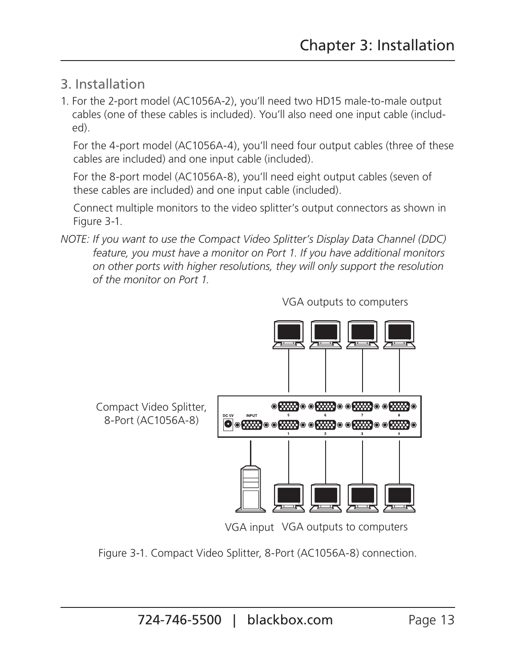- 3. Installation
- 1. For the 2-port model (AC1056A-2), you'll need two HD15 male-to-male output cables (one of these cables is included). You'll also need one input cable (included).

 For the 4-port model (AC1056A-4), you'll need four output cables (three of these cables are included) and one input cable (included).

 For the 8-port model (AC1056A-8), you'll need eight output cables (seven of these cables are included) and one input cable (included).

 Connect multiple monitors to the video splitter's output connectors as shown in Figure 3-1.

*NOTE: If you want to use the Compact Video Splitter's Display Data Channel (DDC) feature, you must have a monitor on Port 1. If you have additional monitors on other ports with higher resolutions, they will only support the resolution of the monitor on Port 1.*



VGA outputs to computers

VGA input VGA outputs to computers

Figure 3-1. Compact Video Splitter, 8-Port (AC1056A-8) connection.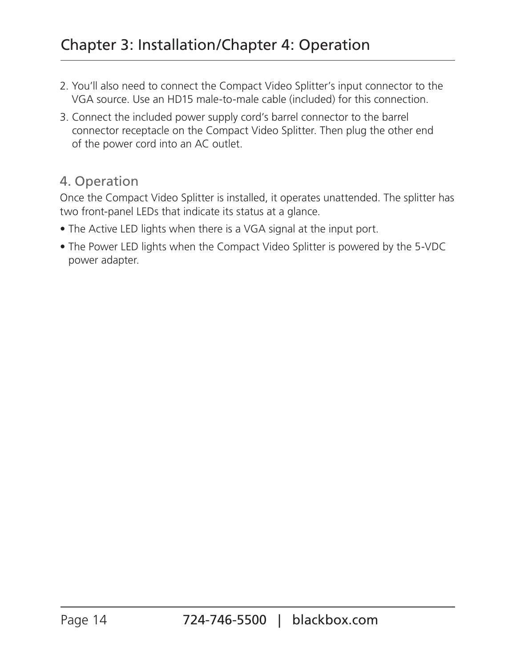- 2. You'll also need to connect the Compact Video Splitter's input connector to the VGA source. Use an HD15 male-to-male cable (included) for this connection.
- 3. Connect the included power supply cord's barrel connector to the barrel connector receptacle on the Compact Video Splitter. Then plug the other end of the power cord into an AC outlet.

#### 4. Operation

Once the Compact Video Splitter is installed, it operates unattended. The splitter has two front-panel LEDs that indicate its status at a glance.

- The Active LED lights when there is a VGA signal at the input port.
- The Power LED lights when the Compact Video Splitter is powered by the 5-VDC power adapter.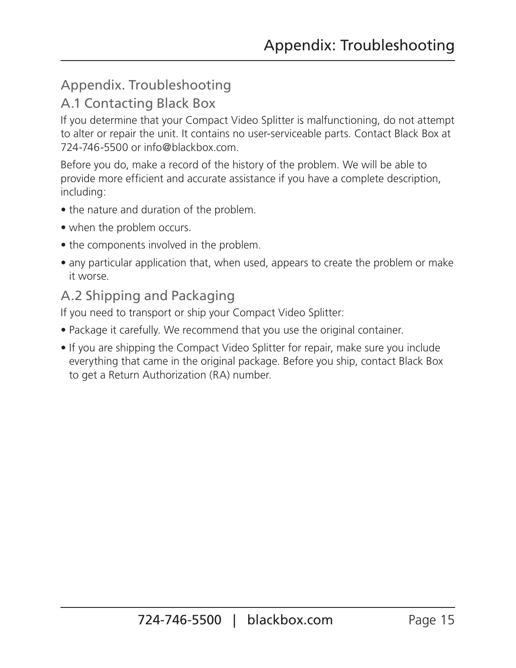# Appendix. Troubleshooting

## A.1 Contacting Black Box

If you determine that your Compact Video Splitter is malfunctioning, do not attempt to alter or repair the unit. It contains no user-serviceable parts. Contact Black Box at 724-746-5500 or info@blackbox.com.

Before you do, make a record of the history of the problem. We will be able to provide more efficient and accurate assistance if you have a complete description, including:

- the nature and duration of the problem.
- when the problem occurs.
- the components involved in the problem.
- any particular application that, when used, appears to create the problem or make it worse.

#### A.2 Shipping and Packaging

If you need to transport or ship your Compact Video Splitter:

- Package it carefully. We recommend that you use the original container.
- If you are shipping the Compact Video Splitter for repair, make sure you include everything that came in the original package. Before you ship, contact Black Box to get a Return Authorization (RA) number.